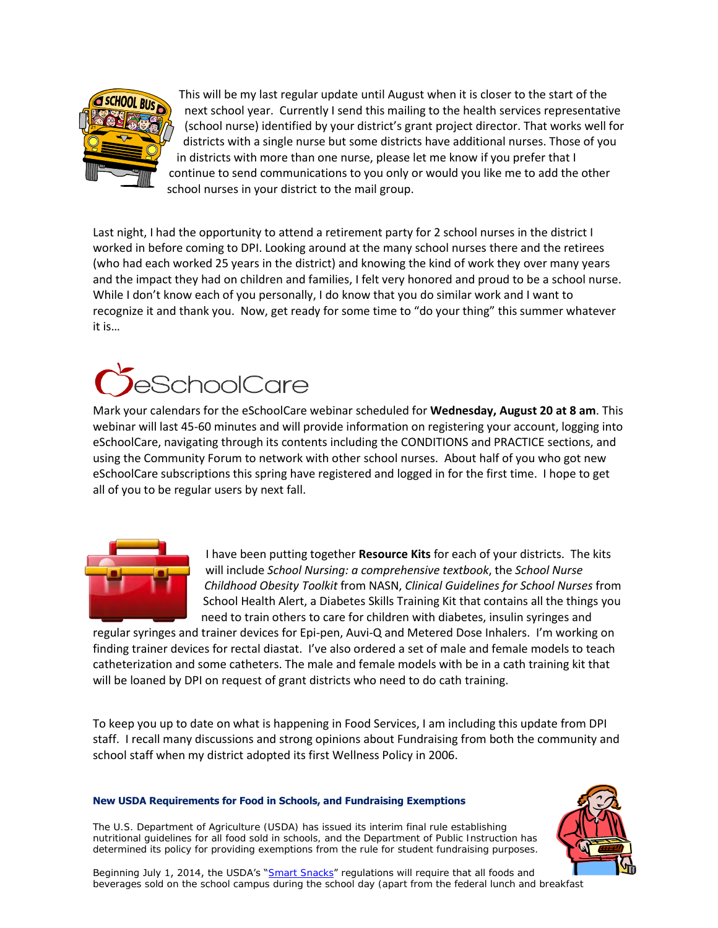

This will be my last regular update until August when it is closer to the start of the next school year. Currently I send this mailing to the health services representative (school nurse) identified by your district's grant project director. That works well for districts with a single nurse but some districts have additional nurses. Those of you in districts with more than one nurse, please let me know if you prefer that I continue to send communications to you only or would you like me to add the other school nurses in your district to the mail group.

Last night, I had the opportunity to attend a retirement party for 2 school nurses in the district I worked in before coming to DPI. Looking around at the many school nurses there and the retirees (who had each worked 25 years in the district) and knowing the kind of work they over many years and the impact they had on children and families, I felt very honored and proud to be a school nurse. While I don't know each of you personally, I do know that you do similar work and I want to recognize it and thank you. Now, get ready for some time to "do your thing" this summer whatever it is…



Mark your calendars for the eSchoolCare webinar scheduled for **Wednesday, August 20 at 8 am**. This webinar will last 45-60 minutes and will provide information on registering your account, logging into eSchoolCare, navigating through its contents including the CONDITIONS and PRACTICE sections, and using the Community Forum to network with other school nurses. About half of you who got new eSchoolCare subscriptions this spring have registered and logged in for the first time. I hope to get all of you to be regular users by next fall.



I have been putting together **Resource Kits** for each of your districts. The kits will include *School Nursing: a comprehensive textbook*, the *School Nurse Childhood Obesity Toolkit* from NASN, *Clinical Guidelines for School Nurses* from School Health Alert, a Diabetes Skills Training Kit that contains all the things you need to train others to care for children with diabetes, insulin syringes and

regular syringes and trainer devices for Epi-pen, Auvi-Q and Metered Dose Inhalers. I'm working on finding trainer devices for rectal diastat. I've also ordered a set of male and female models to teach catheterization and some catheters. The male and female models with be in a cath training kit that will be loaned by DPI on request of grant districts who need to do cath training.

To keep you up to date on what is happening in Food Services, I am including this update from DPI staff. I recall many discussions and strong opinions about Fundraising from both the community and school staff when my district adopted its first Wellness Policy in 2006.

### **New USDA Requirements for Food in Schools, and Fundraising Exemptions**

The U.S. Department of Agriculture (USDA) has issued its interim final rule establishing nutritional guidelines for all food sold in schools, and the Department of Public Instruction has determined its policy for providing exemptions from the rule for student fundraising purposes.



Beginning July 1, 2014, the USDA's "[Smart Snacks](http://www.fns.usda.gov/school-meals/smart-snacks-school)" regulations will require that all foods and beverages sold on the school campus during the school day (apart from the federal lunch and breakfast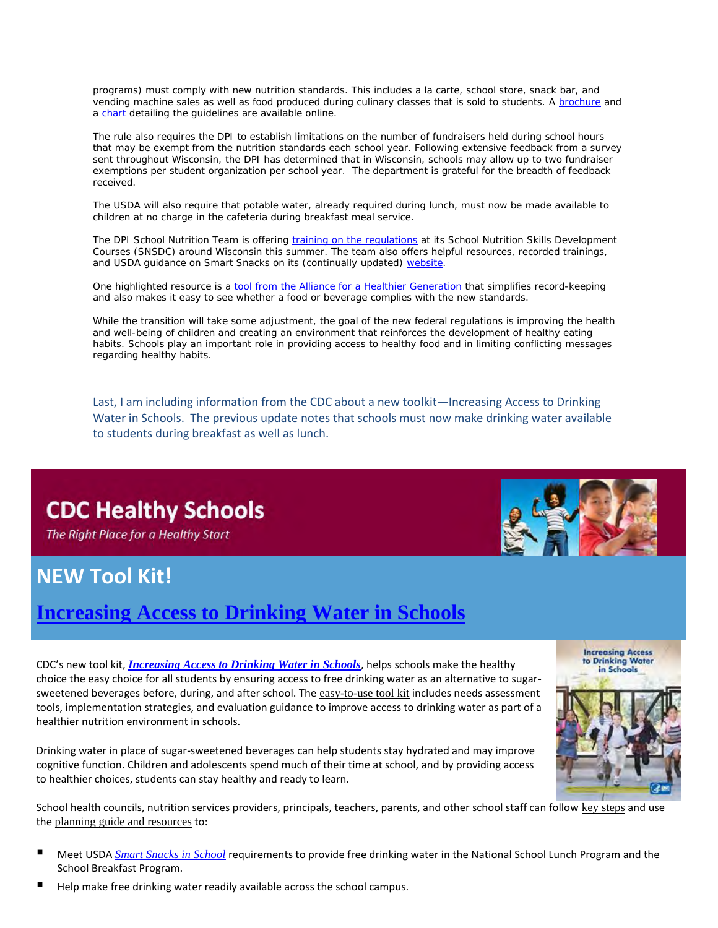programs) must comply with new nutrition standards. This includes a la carte, school store, snack bar, and vending machine sales as well as food produced during culinary classes that is sold to students. A [brochure](http://fns.dpi.wi.gov/files/fns/pdf/smartsnks_br.pdf) and a [chart](http://fns.dpi.wi.gov/files/fns/pdf/allfoods_summarychart.pdf) detailing the guidelines are available online.

The rule also requires the DPI to establish limitations on the number of fundraisers held during school hours that may be exempt from the nutrition standards each school year. Following extensive feedback from a survey sent throughout Wisconsin, the DPI has determined that in Wisconsin, schools may allow up to two fundraiser exemptions per student organization per school year. The department is grateful for the breadth of feedback received.

The USDA will also require that potable water, already required during lunch, must now be made available to children at no charge in the cafeteria during breakfast meal service.

The DPI School Nutrition Team is offering [training on the regulations](http://fns.dpi.wi.gov/fns_snt_training) at its School Nutrition Skills Development Courses (SNSDC) around Wisconsin this summer. The team also offers helpful resources, recorded trainings, and USDA guidance on Smart Snacks on its (continually updated) [website.](http://fns.dpi.wi.gov/fns_cnrsnp#cf)

One highlighted resource is a [tool from the Alliance for a Healthier Generation](https://schools.healthiergeneration.org/focus_areas/snacks_and_beverages/smart_snacks/alliance_product_calculator) that simplifies record-keeping and also makes it easy to see whether a food or beverage complies with the new standards.

While the transition will take some adjustment, the goal of the new federal regulations is improving the health and well-being of children and creating an environment that reinforces the development of healthy eating habits. Schools play an important role in providing access to healthy food and in limiting conflicting messages regarding healthy habits.

Last, I am including information from the CDC about a new toolkit—Increasing Access to Drinking Water in Schools. The previous update notes that schools must now make drinking water available to students during breakfast as well as lunch.

**CDC Healthy Schools** 

The Right Place for a Healthy Start

# **NEW Tool Kit!**

# **[Increasing Access to Drinking Water in Schools](http://www.cdc.gov/healthyyouth/npao/wateraccess.htm)**

CDC's new tool kit, *[Increasing Access to Drinking Water in Schools](http://www.cdc.gov/healthyyouth/npao/wateraccess.htm)*, helps schools make the healthy choice the easy choice for all students by ensuring access to free drinking water as an alternative to sugarsweetened beverages before, during, and after school. The [easy-to-use tool kit](http://www.cdc.gov/healthyyouth/npao/wateraccess.htm) includes needs assessment tools, implementation strategies, and evaluation guidance to improve access to drinking water as part of a healthier nutrition environment in schools.

Drinking water in place of sugar-sweetened beverages can help students stay hydrated and may improve cognitive function. Children and adolescents spend much of their time at school, and by providing access to healthier choices, students can stay healthy and ready to learn.

School health councils, nutrition services providers, principals, teachers, parents, and other school staff can follow [key steps](http://www.cdc.gov/healthyyouth/npao/wateraccess.htm) and use the [planning guide and resources](http://www.cdc.gov/healthyyouth/npao/wateraccess.htm) to:

- Meet USDA *[Smart Snacks in School](http://www.cdc.gov/healthyyouth/nutrition/standards.htm)* requirements to provide free drinking water in the National School Lunch Program and the School Breakfast Program.
- Help make free drinking water readily available across the school campus.